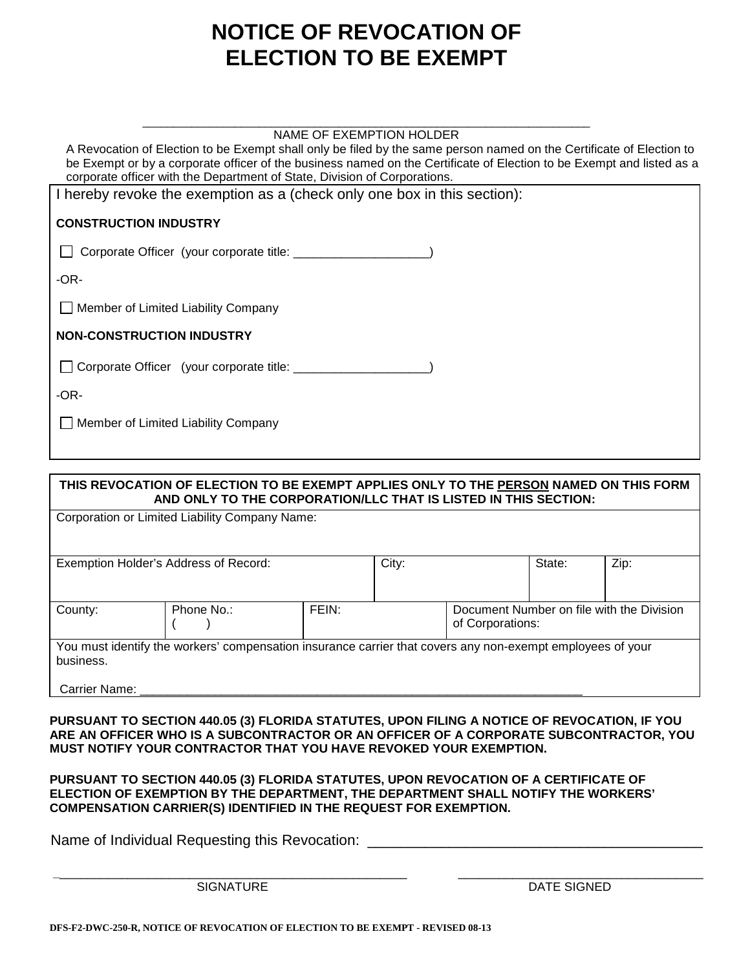# **NOTICE OF REVOCATION OF ELECTION TO BE EXEMPT**

\_\_\_\_\_\_\_\_\_\_\_\_\_\_\_\_\_\_\_\_\_\_\_\_\_\_\_\_\_\_\_\_\_\_\_\_\_\_\_\_\_\_\_\_\_\_\_\_\_\_\_\_\_\_\_\_\_\_\_\_\_\_\_\_\_\_\_\_\_\_\_\_\_

| NAME OF EXEMPTION HOLDER                                                                                                                                                                                                                      |
|-----------------------------------------------------------------------------------------------------------------------------------------------------------------------------------------------------------------------------------------------|
| A Revocation of Election to be Exempt shall only be filed by the same person named on the Certificate of Election to<br>be Exempt or by a corporate officer of the business named on the Certificate of Election to be Exempt and listed as a |
| corporate officer with the Department of State, Division of Corporations.                                                                                                                                                                     |
| I hereby revoke the exemption as a (check only one box in this section):                                                                                                                                                                      |
|                                                                                                                                                                                                                                               |
| <b>CONSTRUCTION INDUSTRY</b>                                                                                                                                                                                                                  |
| Corporate Officer (your corporate title: _________                                                                                                                                                                                            |
| $-OR-$                                                                                                                                                                                                                                        |
| Member of Limited Liability Company                                                                                                                                                                                                           |
| <b>NON-CONSTRUCTION INDUSTRY</b>                                                                                                                                                                                                              |
| Corporate Officer (your corporate title: __________                                                                                                                                                                                           |
| $-OR-$                                                                                                                                                                                                                                        |
| Member of Limited Liability Company                                                                                                                                                                                                           |
|                                                                                                                                                                                                                                               |

#### **THIS REVOCATION OF ELECTION TO BE EXEMPT APPLIES ONLY TO THE PERSON NAMED ON THIS FORM AND ONLY TO THE CORPORATION/LLC THAT IS LISTED IN THIS SECTION:**

| Corporation or Limited Liability Company Name:                                                                                           |            |       |        |                                                               |  |  |  |  |
|------------------------------------------------------------------------------------------------------------------------------------------|------------|-------|--------|---------------------------------------------------------------|--|--|--|--|
| Exemption Holder's Address of Record:                                                                                                    | City:      |       | State: | Zip:                                                          |  |  |  |  |
| County:                                                                                                                                  | Phone No.: | FEIN: |        | Document Number on file with the Division<br>of Corporations: |  |  |  |  |
| You must identify the workers' compensation insurance carrier that covers any non-exempt employees of your<br>business.<br>Carrier Name: |            |       |        |                                                               |  |  |  |  |

**PURSUANT TO SECTION 440.05 (3) FLORIDA STATUTES, UPON FILING A NOTICE OF REVOCATION, IF YOU ARE AN OFFICER WHO IS A SUBCONTRACTOR OR AN OFFICER OF A CORPORATE SUBCONTRACTOR, YOU MUST NOTIFY YOUR CONTRACTOR THAT YOU HAVE REVOKED YOUR EXEMPTION.** 

#### **PURSUANT TO SECTION 440.05 (3) FLORIDA STATUTES, UPON REVOCATION OF A CERTIFICATE OF ELECTION OF EXEMPTION BY THE DEPARTMENT, THE DEPARTMENT SHALL NOTIFY THE WORKERS' COMPENSATION CARRIER(S) IDENTIFIED IN THE REQUEST FOR EXEMPTION.**

Name of Individual Requesting this Revocation:

**\_**\_\_\_\_\_\_\_\_\_\_\_\_\_\_\_\_\_\_\_\_\_\_\_\_\_\_\_\_\_\_\_\_\_\_\_\_\_\_\_\_\_\_\_\_\_\_\_\_\_\_\_ \_\_\_\_\_\_\_\_\_\_\_\_\_\_\_\_\_\_\_\_\_\_\_\_\_\_\_\_\_\_\_\_\_\_\_\_

SIGNATURE DATE SIGNED